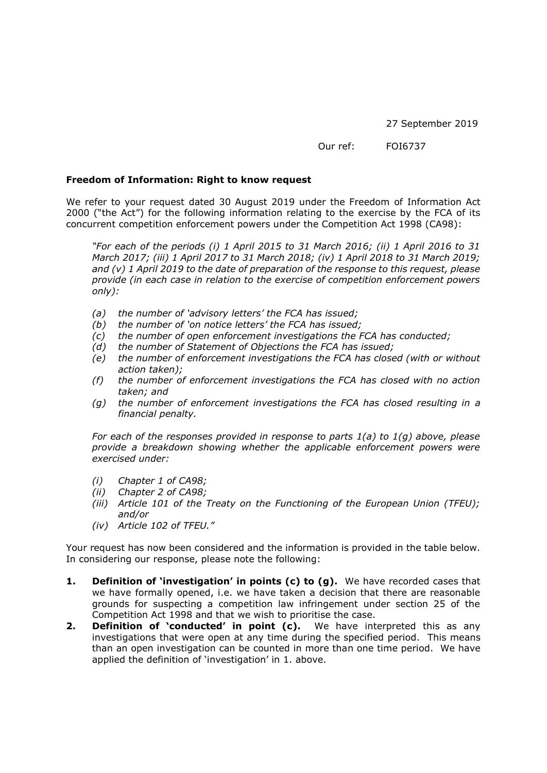27 September 2019

Our ref: FOI6737

## **Freedom of Information: Right to know request**

We refer to your request dated 30 August 2019 under the Freedom of Information Act 2000 ("the Act") for the following information relating to the exercise by the FCA of its concurrent competition enforcement powers under the Competition Act 1998 (CA98):

*"For each of the periods (i) 1 April 2015 to 31 March 2016; (ii) 1 April 2016 to 31 March 2017; (iii) 1 April 2017 to 31 March 2018; (iv) 1 April 2018 to 31 March 2019; and (v) 1 April 2019 to the date of preparation of the response to this request, please provide (in each case in relation to the exercise of competition enforcement powers only):*

- *(a) the number of 'advisory letters' the FCA has issued;*
- *(b) the number of 'on notice letters' the FCA has issued;*
- *(c) the number of open enforcement investigations the FCA has conducted;*
- *(d) the number of Statement of Objections the FCA has issued;*
- *(e) the number of enforcement investigations the FCA has closed (with or without action taken);*
- *(f) the number of enforcement investigations the FCA has closed with no action taken; and*
- *(g) the number of enforcement investigations the FCA has closed resulting in a financial penalty.*

*For each of the responses provided in response to parts 1(a) to 1(g) above, please provide a breakdown showing whether the applicable enforcement powers were exercised under:*

- *(i) Chapter 1 of CA98;*
- *(ii) Chapter 2 of CA98;*
- *(iii) Article 101 of the Treaty on the Functioning of the European Union (TFEU); and/or*
- *(iv) Article 102 of TFEU."*

Your request has now been considered and the information is provided in the table below. In considering our response, please note the following:

- **1. Definition of 'investigation' in points (c) to (g).** We have recorded cases that we have formally opened, i.e. we have taken a decision that there are reasonable grounds for suspecting a competition law infringement under section 25 of the Competition Act 1998 and that we wish to prioritise the case.
- **2. Definition of 'conducted' in point (c).** We have interpreted this as any investigations that were open at any time during the specified period. This means than an open investigation can be counted in more than one time period. We have applied the definition of 'investigation' in 1. above.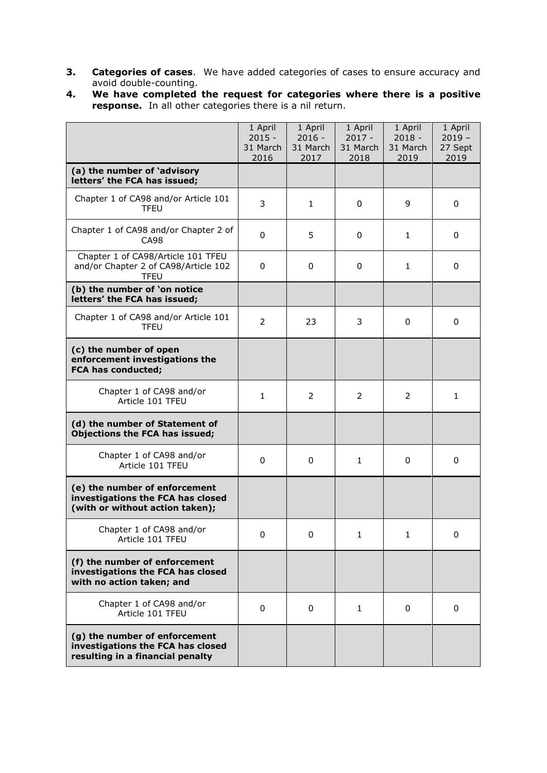- **3. Categories of cases**. We have added categories of cases to ensure accuracy and avoid double-counting.
- **4. We have completed the request for categories where there is a positive response.** In all other categories there is a nil return.

|                                                                                                        | 1 April<br>$2015 -$<br>31 March<br>2016 | 1 April<br>$2016 -$<br>31 March<br>2017 | 1 April<br>$2017 -$<br>31 March<br>2018 | 1 April<br>$2018 -$<br>31 March<br>2019 | 1 April<br>$2019 -$<br>27 Sept<br>2019 |
|--------------------------------------------------------------------------------------------------------|-----------------------------------------|-----------------------------------------|-----------------------------------------|-----------------------------------------|----------------------------------------|
| (a) the number of 'advisory<br>letters' the FCA has issued;                                            |                                         |                                         |                                         |                                         |                                        |
| Chapter 1 of CA98 and/or Article 101<br>TFEU                                                           | 3                                       | 1                                       | 0                                       | 9                                       | 0                                      |
| Chapter 1 of CA98 and/or Chapter 2 of<br>CA98                                                          | $\Omega$                                | 5                                       | 0                                       | 1                                       | 0                                      |
| Chapter 1 of CA98/Article 101 TFEU<br>and/or Chapter 2 of CA98/Article 102<br><b>TFEU</b>              | 0                                       | 0                                       | 0                                       | 1                                       | 0                                      |
| (b) the number of 'on notice<br>letters' the FCA has issued;                                           |                                         |                                         |                                         |                                         |                                        |
| Chapter 1 of CA98 and/or Article 101<br><b>TFEU</b>                                                    | $\overline{2}$                          | 23                                      | 3                                       | 0                                       | 0                                      |
| (c) the number of open<br>enforcement investigations the<br><b>FCA has conducted;</b>                  |                                         |                                         |                                         |                                         |                                        |
| Chapter 1 of CA98 and/or<br>Article 101 TFEU                                                           | 1                                       | 2                                       | 2                                       | 2                                       | 1                                      |
| (d) the number of Statement of<br>Objections the FCA has issued;                                       |                                         |                                         |                                         |                                         |                                        |
| Chapter 1 of CA98 and/or<br>Article 101 TFEU                                                           | 0                                       | 0                                       | $\mathbf{1}$                            | 0                                       | 0                                      |
| (e) the number of enforcement<br>investigations the FCA has closed<br>(with or without action taken);  |                                         |                                         |                                         |                                         |                                        |
| Chapter 1 of CA98 and/or<br>Article 101 TFEU                                                           | 0                                       | 0                                       | 1                                       | 1                                       | 0                                      |
| (f) the number of enforcement<br>investigations the FCA has closed<br>with no action taken; and        |                                         |                                         |                                         |                                         |                                        |
| Chapter 1 of CA98 and/or<br>Article 101 TFEU                                                           | 0                                       | 0                                       | 1                                       | 0                                       | 0                                      |
| (g) the number of enforcement<br>investigations the FCA has closed<br>resulting in a financial penalty |                                         |                                         |                                         |                                         |                                        |